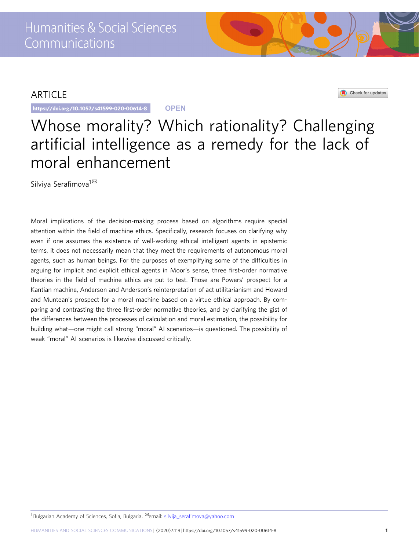## **ARTICLE**

https://doi.org/10.1057/s41599-020-00614-8 **OPEN**

Check for updates

# Whose morality? Which rationality? Challenging artificial intelligence as a remedy for the lack of moral enhancement

Silviya Serafimova<sup>1⊠</sup>

Moral implications of the decision-making process based on algorithms require special attention within the field of machine ethics. Specifically, research focuses on clarifying why even if one assumes the existence of well-working ethical intelligent agents in epistemic terms, it does not necessarily mean that they meet the requirements of autonomous moral agents, such as human beings. For the purposes of exemplifying some of the difficulties in arguing for implicit and explicit ethical agents in Moor's sense, three first-order normative theories in the field of machine ethics are put to test. Those are Powers' prospect for a Kantian machine, Anderson and Anderson's reinterpretation of act utilitarianism and Howard and Muntean's prospect for a moral machine based on a virtue ethical approach. By comparing and contrasting the three first-order normative theories, and by clarifying the gist of the differences between the processes of calculation and moral estimation, the possibility for building what—one might call strong "moral" AI scenarios—is questioned. The possibility of weak "moral" AI scenarios is likewise discussed critically.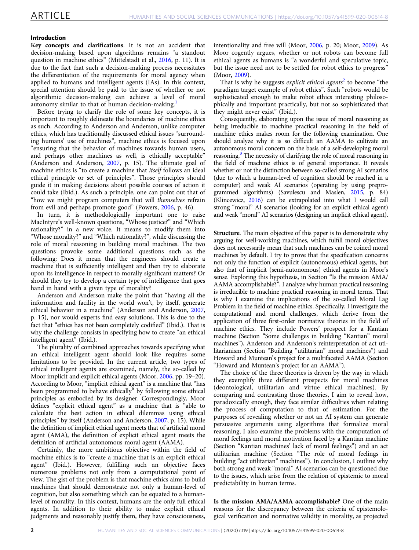### Introduction

Key concepts and clarifications. It is not an accident that decision-making based upon algorithms remains "a standout question in machine ethics" (Mittelstadt et al., [2016](#page-9-0), p. 11). It is due to the fact that such a decision-making process necessitates the differentiation of the requirements for moral agency when applied to humans and intelligent agents (IAs). In this context, special attention should be paid to the issue of whether or not algorithmic decision-making can achieve a level of moral autonomy similar to that of human decision-making.<sup>[1](#page-9-0)</sup>

Before trying to clarify the role of some key concepts, it is important to roughly delineate the boundaries of machine ethics as such. According to Anderson and Anderson, unlike computer ethics, which has traditionally discussed ethical issues "surrounding humans' use of machines", machine ethics is focused upon "ensuring that the behavior of machines towards human users, and perhaps other machines as well, is ethically acceptable" (Anderson and Anderson, [2007](#page-9-0), p. 15). The ultimate goal of machine ethics is "to create a machine that itself follows an ideal ethical principle or set of principles". Those principles should guide it in making decisions about possible courses of action it could take (Ibid.). As such a principle, one can point out that of "how we might program computers that will themselves refrain from evil and perhaps promote good" (Powers, [2006,](#page-9-0) p. 46).

In turn, it is methodologically important one to raise MacIntyre's well-known questions, "Whose justice?" and "Which rationality?" in a new voice. It means to modify them into "Whose morality?" and "Which rationality?", while discussing the role of moral reasoning in building moral machines. The two questions provoke some additional questions such as the following: Does it mean that the engineers should create a machine that is sufficiently intelligent and then try to elaborate upon its intelligence in respect to morally significant matters? Or should they try to develop a certain type of intelligence that goes hand in hand with a given type of morality?

Anderson and Anderson make the point that "having all the information and facility in the world won't, by itself, generate ethical behavior in a machine" (Anderson and Anderson, [2007,](#page-9-0) p. 15), nor would experts find easy solutions. This is due to the fact that "ethics has not been completely codified" (Ibid.). That is why the challenge consists in specifying how to create "an ethical intelligent agent" (Ibid.).

The plurality of combined approaches towards specifying what an ethical intelligent agent should look like requires some limitations to be provided. In the current article, two types of ethical intelligent agents are examined, namely, the so-called by Moor implicit and explicit ethical agents (Moor, [2006,](#page-9-0) pp. 19–20). According to Moor, "implicit ethical agent" is a machine that "has been programmed to behave ethically" by following some ethical principles as embodied by its designer. Correspondingly, Moor defines "explicit ethical agent" as a machine that is "able to calculate the best action in ethical dilemmas using ethical principles" by itself (Anderson and Anderson, [2007,](#page-9-0) p. 15). While the definition of implicit ethical agent meets that of artificial moral agent (AMA), the definition of explicit ethical agent meets the definition of artificial autonomous moral agent (AAMA).

Certainly, the more ambitious objective within the field of machine ethics is to "create a machine that is an explicit ethical agent" (Ibid.). However, fulfilling such an objective faces numerous problems not only from a computational point of view. The gist of the problem is that machine ethics aims to build machines that should demonstrate not only a human-level of cognition, but also something which can be equated to a humanlevel of morality. In this context, humans are the only full ethical agents. In addition to their ability to make explicit ethical judgments and reasonably justify them, they have consciousness,

intentionality and free will (Moor, [2006,](#page-9-0) p. 20; Moor, [2009](#page-9-0)). As Moor cogently argues, whether or not robots can become full ethical agents as humans is "a wonderful and speculative topic, but the issue need not to be settled for robot ethics to progress" (Moor, [2009](#page-9-0)).

That is why he suggests *explicit ethical agents*<sup>[2](#page-9-0)</sup> to become "the paradigm target example of robot ethics". Such "robots would be sophisticated enough to make robot ethics interesting philosophically and important practically, but not so sophisticated that they might never exist" (Ibid.).

Consequently, elaborating upon the issue of moral reasoning as being irreducible to machine practical reasoning in the field of machine ethics makes room for the following examination. One should analyze why it is so difficult an AAMA to cultivate an autonomous moral concern on the basis of a self-developing moral reasoning.<sup>[3](#page-9-0)</sup> The necessity of clarifying the role of moral reasoning in the field of machine ethics is of general importance. It reveals whether or not the distinction between so-called strong AI scenarios (due to which a human-level of cognition should be reached in a computer) and weak AI scenarios (operating by using preprogrammed algorithms) (Savulescu and Maslen, [2015](#page-9-0), p. 84) (Klincewicz, [2016\)](#page-9-0) can be extrapolated into what I would call strong "moral" AI scenarios (looking for an explicit ethical agent) and weak "moral" AI scenarios (designing an implicit ethical agent).

Structure. The main objective of this paper is to demonstrate why arguing for well-working machines, which fulfill moral objectives does not necessarily mean that such machines can be coined moral machines by default. I try to prove that the specification concerns not only the function of explicit (autonomous) ethical agents, but also that of implicit (semi-autonomous) ethical agents in Moor's sense. Exploring this hypothesis, in Section "Is the mission AMA/ AAMA accomplishable?", I analyze why human practical reasoning is irreducible to machine practical reasoning in moral terms. That is why I examine the implications of the so-called Moral Lag Problem in the field of machine ethics. Specifically, I investigate the computational and moral challenges, which derive from the application of three first-order normative theories in the field of machine ethics. They include Powers' prospect for a Kantian machine (Section "Some challenges in building "Kantian" moral machines"), Anderson and Anderson's reinterpretation of act utilitarianism (Section "Building "utilitarian" moral machines") and Howard and Muntean's project for a multifaceted AAMA (Section "Howard and Muntean's project for an AAMA").

The choice of the three theories is driven by the way in which they exemplify three different prospects for moral machines (deontological, utilitarian and virtue ethical machines). By comparing and contrasting those theories, I aim to reveal how, paradoxically enough, they face similar difficulties when relating the process of computation to that of estimation. For the purposes of revealing whether or not an AI system can generate persuasive arguments using algorithms that formalize moral reasoning, I also examine the problems with the computation of moral feelings and moral motivation faced by a Kantian machine (Section "Kantian machines' lack of moral feelings") and an act utilitarian machine (Section "The role of moral feelings in building "act utilitarian" machines"). In conclusion, I outline why both strong and weak "moral" AI scenarios can be questioned due to the issues, which arise from the relation of epistemic to moral predictability in human terms.

Is the mission AMA/AAMA accomplishable? One of the main reasons for the discrepancy between the criteria of epistemological verification and normative validity in morality, as projected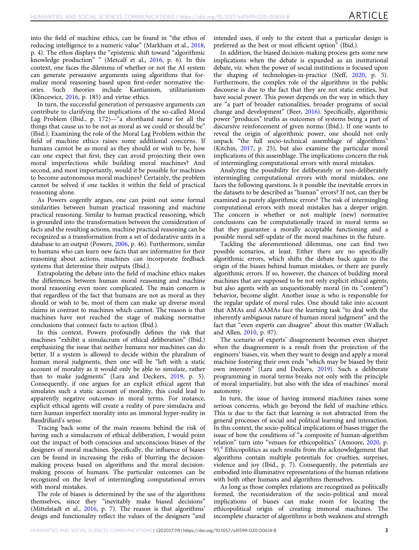into the field of machine ethics, can be found in "the ethos of reducing intelligence to a numeric value" (Markham et al., [2018,](#page-9-0) p. 4). The ethos displays the "epistemic shift toward "algorithmic knowledge production" " (Metcalf et al., [2016,](#page-9-0) p. 6). In this context, one faces the dilemma of whether or not the AI system can generate persuasive arguments using algorithms that formalize moral reasoning based upon first-order normative theories. Such theories include Kantianism, utilitarianism (Klincewicz, [2016](#page-9-0), p. 185) and virtue ethics.

In turn, the successful generation of persuasive arguments can contribute to clarifying the implications of the so-called Moral Lag Problem (Ibid., p. 172)—"a shorthand name for all the things that cause us to be not as moral as we could or should be" (Ibid.). Examining the role of the Moral Lag Problem within the field of machine ethics raises some additional concerns. If humans cannot be as moral as they should or wish to be, how can one expect that first, they can avoid projecting their own moral imperfections while building moral machines? And second, and most importantly, would it be possible for machines to become autonomous moral machines? Certainly, the problem cannot be solved if one tackles it within the field of practical reasoning alone.

As Powers cogently argues, one can point out some formal similarities between human practical reasoning and machine practical reasoning. Similar to human practical reasoning, which is grounded into the transformation between the consideration of facts and the resulting actions, machine practical reasoning can be recognized as a transformation from a set of declarative units in a database to an output (Powers, [2006,](#page-9-0) p. 46). Furthermore, similar to humans who can learn new facts that are informative for their reasoning about actions, machines can incorporate feedback systems that determine their outputs (Ibid.).

Extrapolating the debate into the field of machine ethics makes the differences between human moral reasoning and machine moral reasoning even more complicated. The main concern is that regardless of the fact that humans are not as moral as they should or wish to be, most of them can make up diverse moral claims in contrast to machines which cannot. The reason is that machines have not reached the stage of making normative conclusions that connect facts to action (Ibid.).

In this context, Powers profoundly defines the risk that machines "exhibit a simulacrum of ethical deliberation" (Ibid.) emphasizing the issue that neither humans nor machines can do better. If a system is allowed to decide within the pluralism of human moral judgments, then one will be "left with a static account of morality as it would only be able to simulate, rather than to make judgments" (Lara and Deckers, [2019](#page-9-0), p. 5). Consequently, if one argues for an explicit ethical agent that simulates such a static account of morality, this could lead to apparently negative outcomes in moral terms. For instance, explicit ethical agents will create a reality of pure simulacra and turn human imperfect morality into an immoral hyper-reality in Baudrillard's sense.

Tracing back some of the main reasons behind the risk of having such a simulacrum of ethical deliberation, I would point out the impact of both conscious and unconscious biases of the designers of moral machines. Specifically, the influence of biases can be found in increasing the risks of blurring the decisionmaking process based on algorithms and the moral decisionmaking process of humans. The particular outcomes can be recognized on the level of intermingling computational errors with moral mistakes.

The role of biases is determined by the use of the algorithms themselves, since they "inevitably make biased decisions" (Mittelstadt et al., [2016](#page-9-0), p. 7). The reason is that algorithms' design and functionality reflect the values of the designers "and intended uses, if only to the extent that a particular design is preferred as the best or most efficient option" (Ibid.).

In addition, the biased decision-making process gets some new implications when the debate is expanded as an institutional debate, viz. when the power of social institutions is focused upon the shaping of technologies-in-practice (Neff, [2020,](#page-9-0) p. 5). Furthermore, the complex role of the algorithms in the public discourse is due to the fact that they are not static entities, but have social power. This power depends on the way in which they are "a part of broader rationalities, broader programs of social change and development" (Beer, [2016\)](#page-9-0). Specifically, algorithmic power "produces" truths as outcomes of systems being a part of discursive reinforcement of given norms (Ibid.). If one wants to reveal the origin of algorithmic power, one should not only unpack "the full socio-technical assemblage of algorithms" (Kitchin, [2017](#page-9-0), p. 25), but also examine the particular moral implications of this assemblage. The implications concern the risk of intermingling computational errors with moral mistakes.

Analyzing the possibility for deliberately or non-deliberately intermingling computational errors with moral mistakes, one faces the following questions. Is it possible the inevitable errors in the datasets to be described as "human" errors? If not, can they be examined as purely algorithmic errors? The risk of intermingling computational errors with moral mistakes has a deeper origin. The concern is whether or not multiple (new) normative conclusions can be computationally traced in moral terms so that they guarantee a morally acceptable functioning and a possible moral self-update of the moral machines in the future.

Tackling the aforementioned dilemmas, one can find two possible scenarios, at least. Either there are no specifically algorithmic errors, which shifts the debate back again to the origin of the biases behind human mistakes, or there are purely algorithmic errors. If so, however, the chances of building moral machines that are supposed to be not only explicit ethical agents, but also agents with an unquestionably moral (in its "content") behavior, become slight. Another issue is who is responsible for the regular update of moral rules. One should take into account that AMAs and AAMAs face the learning task "to deal with the inherently ambiguous nature of human moral judgment" and the fact that "even experts can disagree" about this matter (Wallach and Allen, [2010,](#page-9-0) p. 97).

The scenario of experts' disagreement becomes even sharper when the disagreement is a result from the projection of the engineers' biases, viz. when they want to design and apply a moral machine fostering their own ends "which may be biased by their own interests" (Lara and Deckers, [2019](#page-9-0)). Such a deliberate programming in moral terms breaks not only with the principle of moral impartiality, but also with the idea of machines' moral autonomy.

In turn, the issue of having immoral machines raises some serious concerns, which go beyond the field of machine ethics. This is due to the fact that learning is not abstracted from the general processes of social and political learning and interaction. In this context, the socio-political implications of biases trigger the issue of how the conditions of "a composite of human-algorithm relation" turn into "venues for ethicopolitics" (Amoore, [2020](#page-9-0), p. 9). $<sup>4</sup>$  Ethicopolitics as such results from the acknowledgement that</sup> algorithms contain multiple potentials for cruelties, surprises, violence and joy (Ibid., p. 7). Consequently, the potentials are embodied into illuminative representations of the human relations with both other humans and algorithms themselves.

As long as those complex relations are recognized as politically formed, the reconsideration of the socio-political and moral implications of biases can make room for locating the ethicopolitical origin of creating immoral machines. The incomplete character of algorithms is both weakness and strength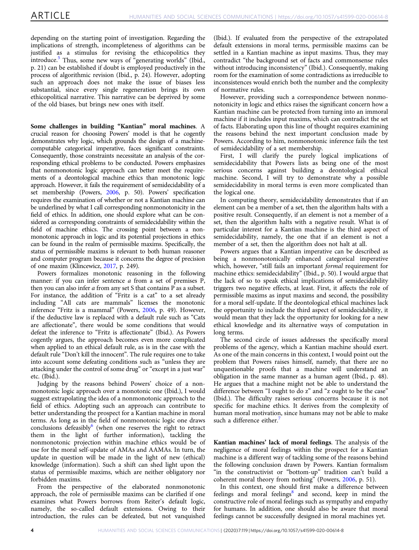depending on the starting point of investigation. Regarding the implications of strength, incompleteness of algorithms can be justified as a stimulus for revising the ethicopolitics they introduce. $5$  Thus, some new ways of "generating worlds" (Ibid., p. 21) can be established if doubt is employed productively in the process of algorithmic revision (Ibid., p. 24). However, adopting such an approach does not make the issue of biases less substantial, since every single regeneration brings its own ethicopolitical narrative. This narrative can be deprived by some of the old biases, but brings new ones with itself.

Some challenges in building "Kantian" moral machines. A crucial reason for choosing Powers' model is that he cogently demonstrates why logic, which grounds the design of a machinecomputable categorical imperative, faces significant constraints. Consequently, those constraints necessitate an analysis of the corresponding ethical problems to be conducted. Powers emphasizes that nonmonotonic logic approach can better meet the requirements of a deontological machine ethics than monotonic logic approach. However, it fails the requirement of semidecidability of a set membership (Powers, [2006,](#page-9-0) p. 50). Powers' specification requires the examination of whether or not a Kantian machine can be underlined by what I call corresponding nonmonotonicity in the field of ethics. In addition, one should explore what can be considered as corresponding constraints of semidecidability within the field of machine ethics. The crossing point between a nonmonotonic approach in logic and its potential projections in ethics can be found in the realm of permissible maxims. Specifically, the status of permissible maxims is relevant to both human reasoner and computer program because it concerns the degree of precision of one maxim (Klincewicz, [2017,](#page-9-0) p. 249).

Powers formalizes monotonic reasoning in the following manner: if you can infer sentence a from a set of premises P, then you can also infer a from any set S that contains P as a subset. For instance, the addition of "Fritz is a cat" to a set already including "All cats are mammals" licenses the monotonic inference "Fritz is a mammal" (Powers, [2006,](#page-9-0) p. 49). However, if the deductive law is replaced with a default rule such as "Cats are affectionate", there would be some conditions that would defeat the inference to "Fritz is affectionate" (Ibid.). As Powers cogently argues, the approach becomes even more complicated when applied to an ethical default rule, as is in the case with the default rule "Don't kill the innocent". The rule requires one to take into account some defeating conditions such as "unless they are attacking under the control of some drug" or "except in a just war" etc. (Ibid.).

Judging by the reasons behind Powers' choice of a nonmonotonic logic approach over a monotonic one (Ibid.), I would suggest extrapolating the idea of a nonmonotonic approach to the field of ethics. Adopting such an approach can contribute to better understanding the prospect for a Kantian machine in moral terms. As long as in the field of nonmonotonic logic one draws conclusions defeasibly $<sup>6</sup>$  (when one reserves the right to retract</sup> them in the light of further information), tackling the nonmonotonic projection within machine ethics would be of use for the moral self-update of AMAs and AAMAs. In turn, the update in question will be made in the light of new (ethical) knowledge (information). Such a shift can shed light upon the status of permissible maxims, which are neither obligatory nor forbidden maxims.

From the perspective of the elaborated nonmonotonic approach, the role of permissible maxims can be clarified if one examines what Powers borrows from Reiter's default logic, namely, the so-called default extensions. Owing to their introduction, the rules can be defeated, but not vanquished (Ibid.). If evaluated from the perspective of the extrapolated default extensions in moral terms, permissible maxims can be settled in a Kantian machine as input maxims. Thus, they may contradict "the background set of facts and commonsense rules without introducing inconsistency" (Ibid.). Consequently, making room for the examination of some contradictions as irreducible to inconsistences would enrich both the number and the complexity of normative rules.

However, providing such a correspondence between nonmonotonicity in logic and ethics raises the significant concern how a Kantian machine can be protected from turning into an immoral machine if it includes input maxims, which can contradict the set of facts. Elaborating upon this line of thought requires examining the reasons behind the next important conclusion made by Powers. According to him, nonmonotonic inference fails the test of semidecidability of a set membership.

First, I will clarify the purely logical implications of semidecidability that Powers lists as being one of the most serious concerns against building a deontological ethical machine. Second, I will try to demonstrate why a possible semidecidability in moral terms is even more complicated than the logical one.

In computing theory, semidecidability demonstrates that if an element can be a member of a set, then the algorithm halts with a positive result. Consequently, if an element is not a member of a set, then the algorithm halts with a negative result. What is of particular interest for a Kantian machine is the third aspect of semidecidability, namely, the one that if an element is not a member of a set, then the algorithm does not halt at all.

Powers argues that a Kantian imperative can be described as being a nonmonotonically enhanced categorical imperative which, however, "still fails an important formal requirement for machine ethics: semidecidability" (Ibid., p. 50). I would argue that the lack of so to speak ethical implications of semidecidability triggers two negative effects, at least. First, it affects the role of permissible maxims as input maxims and second, the possibility for a moral self-update. If the deontological ethical machines lack the opportunity to include the third aspect of semidecidability, it would mean that they lack the opportunity for looking for a new ethical knowledge and its alternative ways of computation in long terms.

The second circle of issues addresses the specifically moral problems of the agency, which a Kantian machine should exert. As one of the main concerns in this context, I would point out the problem that Powers raises himself, namely, that there are no unquestionable proofs that a machine will understand an obligation in the same manner as a human agent (Ibid., p. 48). He argues that a machine might not be able to understand the difference between "I ought to do z" and "z ought to be the case" (Ibid.). The difficulty raises serious concerns because it is not specific for machine ethics. It derives from the complexity of human moral motivation, since humans may not be able to make such a difference either.<sup>[7](#page-9-0)</sup>

Kantian machines' lack of moral feelings. The analysis of the negligence of moral feelings within the prospect for a Kantian machine is a different way of tackling some of the reasons behind the following conclusion drawn by Powers. Kantian formalism "in the constructivist or "bottom-up" tradition can't build a coherent moral theory from nothing" (Powers, [2006](#page-9-0), p. 51).

In this context, one should first make a difference between feelings and moral feelings $8$  and second, keep in mind the constructive role of moral feelings such as sympathy and empathy for humans. In addition, one should also be aware that moral feelings cannot be successfully designed in moral machines yet.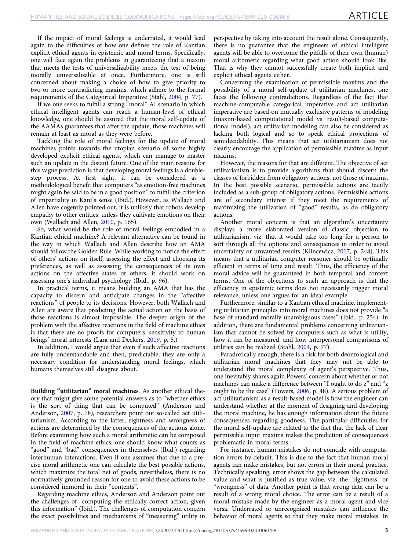If the impact of moral feelings is underrated, it would lead again to the difficulties of how one defines the role of Kantian explicit ethical agents in epistemic and moral terms. Specifically, one will face again the problems in guaranteeing that a maxim that meets the tests of universalizability meets the test of being morally universalizable at once. Furthermore, one is still concerned about making a choice of how to give priority to two or more contradicting maxims, which adhere to the formal requirements of the Categorical Imperative (Stahl, [2004,](#page-9-0) p. 77).

If we one seeks to fulfill a strong "moral" AI scenario in which ethical intelligent agents can reach a human-level of ethical knowledge, one should be assured that the moral self-update of the AAMAs guarantees that after the update, those machines will remain at least as moral as they were before.

Tackling the role of moral feelings for the update of moral machines points towards the utopian scenario of some highly developed explicit ethical agents, which can manage to master such an update in the distant future. One of the main reasons for this vague prediction is that developing moral feelings is a doublestep process. At first sight, it can be considered as a methodological benefit that computers "as emotion-free machines might again be said to be in a good position" to fulfill the criterion of impartiality in Kant's sense (Ibid.). However, as Wallach and Allen have cogently pointed out, it is unlikely that robots develop empathy to other entities, unless they cultivate emotions on their own (Wallach and Allen, [2010,](#page-9-0) p. 165).

So, what would be the role of moral feelings embodied in a Kantian ethical machine? A relevant alternative can be found in the way in which Wallach and Allen describe how an AMA should follow the Golden Rule. While working to notice the effect of others' actions on itself, assessing the effect and choosing its preferences, as well as assessing the consequences of its own actions on the affective states of others, it should work on assessing one's individual psychology (Ibid., p. 96).

In practical terms, it means building an AMA that has the capacity to discern and anticipate changes in the "affective reactions" of people to its decisions. However, both Wallach and Allen are aware that predicting the actual action on the basis of those reactions is almost impossible. The deeper origin of the problem with the affective reactions in the field of machine ethics is that there are no proofs for computers' sensitivity to human beings' moral interests (Lara and Deckers, [2019](#page-9-0), p. 5.)

In addition, I would argue that even if such affective reactions are fully understandable and then, predictable, they are only a necessary condition for understanding moral feelings, which humans themselves still disagree about.

Building "utilitarian" moral machines. As another ethical theory that might give some potential answers as to "whether ethics is the sort of thing that can be computed" (Anderson and Anderson, [2007](#page-9-0), p. 18), researchers point out so-called act utilitarianism. According to the latter, rightness and wrongness of actions are determined by the consequences of the actions alone. Before examining how such a moral arithmetic can be composed in the field of machine ethics, one should know what counts as "good" and "bad" consequences in themselves (Ibid.) regarding interhuman interactions. Even if one assumes that due to a precise moral arithmetic one can calculate the best possible actions, which maximize the total net of goods, nevertheless, there is no normatively grounded reason for one to avoid these actions to be considered immoral in their "contents".

Regarding machine ethics, Anderson and Anderson point out the challenges of "computing the ethically correct action, given this information" (Ibid.). The challenges of computation concern the exact possibilities and mechanisms of "measuring" utility in

perspective by taking into account the result alone. Consequently, there is no guarantee that the engineers of ethical intelligent agents will be able to overcome the pitfalls of their own (human) moral arithmetic regarding what good action should look like. That is why they cannot successfully create both implicit and explicit ethical agents either.

Concerning the examination of permissible maxims and the possibility of a moral self-update of utilitarian machines, one faces the following contradictions. Regardless of the fact that machine-computable categorical imperative and act utilitarian imperative are based on mutually exclusive patterns of modeling (maxim-based computational model vs. result-based computational model), act utilitarian modeling can also be considered as lacking both logical and so to speak ethical projections of semidecidability. This means that act utilitarianism does not clearly encourage the application of permissible maxims as input maxims.

However, the reasons for that are different. The objective of act utilitarianism is to provide algorithms that should discern the classes of forbidden from obligatory actions, not those of maxims. In the best possible scenario, permissible actions are tacitly included as a sub-group of obligatory actions. Permissible actions are of secondary interest if they meet the requirements of maximizing the utilization of "good" results, as do obligatory actions.

Another moral concern is that an algorithm's uncertainty displays a more elaborated version of classic objection to utilitarianism, viz. that it would take too long for a person to sort through all the options and consequences in order to avoid uncertainty or unwanted results (Klincewicz, [2017](#page-9-0), p. 248). This means that a utilitarian computer reasoner should be optimally efficient in terms of time and result. Thus, the efficiency of the moral advice will be guaranteed in both temporal and context terms. One of the objections to such an approach is that the efficiency in epistemic terms does not necessarily trigger moral relevance, unless one argues for an ideal example.

Furthermore, similar to a Kantian ethical machine, implementing utilitarian principles into moral machines does not provide "a base of standard morally unambiguous cases" (Ibid., p. 254). In addition, there are fundamental problems concerning utilitarianism that cannot be solved by computers such as what is utility, how it can be measured, and how interpersonal comparisons of utilities can be realized (Stahl, [2004,](#page-9-0) p. 77).

Paradoxically enough, there is a risk for both deontological and utilitarian moral machines that they may not be able to understand the moral complexity of agent's perspective. Thus, one inevitably shares again Powers' concern about whether or not machines can make a difference between "I ought to do z" and "z ought to be the case" (Powers, [2006,](#page-9-0) p. 48). A serious problem of act utilitarianism as a result-based model is how the engineer can understand whether at the moment of designing and developing the moral machine, he has enough information about the future consequences regarding goodness. The particular difficulties for the moral self-update are related to the fact that the lack of clear permissible input maxims makes the prediction of consequences problematic in moral terms.

For instance, human mistakes do not coincide with computation errors by default. This is due to the fact that human moral agents can make mistakes, but not errors in their moral practice. Technically speaking, error shows the gap between the calculated value and what is justified as true value, viz. the "rightness" or "wrongness" of data. Another point is that wrong data can be a result of a wrong moral choice. The error can be a result of a moral mistake made by the engineer as a moral agent and vice versa. Underrated or unrecognized mistakes can influence the behavior of moral agents so that they make moral mistakes. In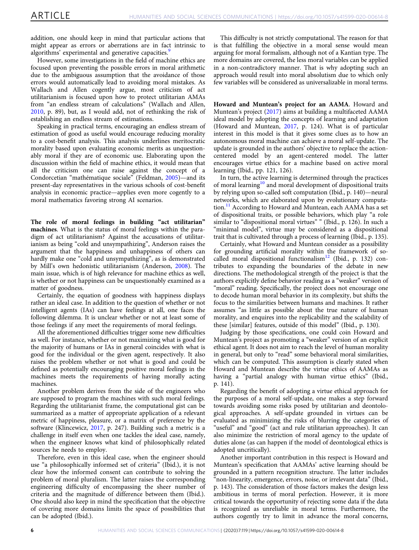addition, one should keep in mind that particular actions that might appear as errors or aberrations are in fact intrinsic to algorithms' experimental and generative capacities.<sup>[9](#page-9-0)</sup>

However, some investigations in the field of machine ethics are focused upon preventing the possible errors in moral arithmetic due to the ambiguous assumption that the avoidance of those errors would automatically lead to avoiding moral mistakes. As Wallach and Allen cogently argue, most criticism of act utilitarianism is focused upon how to protect utilitarian AMAs from "an endless stream of calculations" (Wallach and Allen, [2010,](#page-9-0) p. 89), but, as I would add, not of rethinking the risk of establishing an endless stream of estimations.

Speaking in practical terms, encouraging an endless stream of estimation of good as useful would encourage reducing morality to a cost-benefit analysis. This analysis underlines meritocratic morality based upon evaluating economic merits as unquestionably moral if they are of economic use. Elaborating upon the discussion within the field of machine ethics, it would mean that all the criticism one can raise against the concept of a Condorcetian "mathématique sociale" (Feldman, [2005](#page-9-0))—and its present-day representatives in the various schools of cost-benefit analysis in economic practice—applies even more cogently to a moral mathematics favoring strong AI scenarios.

The role of moral feelings in building "act utilitarian" machines. What is the status of moral feelings within the paradigm of act utilitarianism? Against the accusations of utilitarianism as being "cold and unsympathizing", Anderson raises the argument that the happiness and unhappiness of others can hardly make one "cold and unsympathizing", as is demonstrated by Mill's own hedonistic utilitarianism (Anderson, [2008](#page-9-0)). The main issue, which is of high relevance for machine ethics as well, is whether or not happiness can be unquestionably examined as a matter of goodness.

Certainly, the equation of goodness with happiness displays rather an ideal case. In addition to the question of whether or not intelligent agents (IAs) can have feelings at all, one faces the following dilemma. It is unclear whether or not at least some of those feelings if any meet the requirements of moral feelings.

All the aforementioned difficulties trigger some new difficulties as well. For instance, whether or not maximizing what is good for the majority of humans or IAs in general coincides with what is good for the individual or the given agent, respectively. It also raises the problem whether or not what is good and could be defined as potentially encouraging positive moral feelings in the machines meets the requirements of having morally acting machines.

Another problem derives from the side of the engineers who are supposed to program the machines with such moral feelings. Regarding the utilitarianist frame, the computational gist can be summarized as a matter of appropriate application of a relevant metric of happiness, pleasure, or a matrix of preference by the software (Klincewicz, [2017,](#page-9-0) p. 247). Building such a metric is a challenge in itself even when one tackles the ideal case, namely, when the engineer knows what kind of philosophically related sources he needs to employ.

Therefore, even in this ideal case, when the engineer should use "a philosophically informed set of criteria" (Ibid.), it is not clear how the informed consent can contribute to solving the problem of moral pluralism. The latter raises the corresponding engineering difficulty of encompassing the sheer number of criteria and the magnitude of difference between them (Ibid.). One should also keep in mind the specification that the objective of covering more domains limits the space of possibilities that can be adopted (Ibid.).

This difficulty is not strictly computational. The reason for that is that fulfilling the objective in a moral sense would mean arguing for moral formalism, although not of a Kantian type. The more domains are covered, the less moral variables can be applied in a non-contradictory manner. That is why adopting such an approach would result into moral absolutism due to which only few variables will be considered as universalizable in moral terms.

Howard and Muntean's project for an AAMA. Howard and Muntean's project ([2017\)](#page-9-0) aims at building a multifaceted AAMA ideal model by adopting the concepts of learning and adaptation (Howard and Muntean, [2017,](#page-9-0) p. 124). What is of particular interest in this model is that it gives some clues as to how an autonomous moral machine can achieve a moral self-update. The update is grounded in the authors' objective to replace the actioncentered model by an agent-centered model. The latter encourages virtue ethics for a machine based on active moral learning (Ibid., pp. 121, 126).

In turn, the active learning is determined through the practices of moral learning<sup>[10](#page-9-0)</sup> and moral development of dispositional traits by relying upon so-called soft computation (Ibid., p. 140)—neural networks, which are elaborated upon by evolutionary computa-tion.<sup>[11](#page-9-0)</sup> According to Howard and Muntean, each AAMA has a set of dispositional traits, or possible behaviors, which play "a role similar to "dispositional moral virtues" " (Ibid., p. 126). In such a "minimal model", virtue may be considered as a dispositional trait that is cultivated through a process of learning (Ibid., p. 135).

Certainly, what Howard and Muntean consider as a possibility for grounding artificial morality within the framework of so-called moral dispositional functionalism<sup>[12](#page-9-0)</sup> (Ibid., p. 132) contributes to expanding the boundaries of the debate in new directions. The methodological strength of the project is that the authors explicitly define behavior reading as a "weaker" version of "moral" reading. Specifically, the project does not encourage one to decode human moral behavior in its complexity, but shifts the focus to the similarities between humans and machines. It rather assumes "as little as possible about the true nature of human morality, and enquires into the replicability and the scalability of these [similar] features, outside of this model" (Ibid., p. 130).

Judging by those specifications, one could coin Howard and Muntean's project as promoting a "weaker" version of an explicit ethical agent. It does not aim to reach the level of human morality in general, but only to "read" some behavioral moral similarities, which can be computed. This assumption is clearly stated when Howard and Muntean describe the virtue ethics of AAMAs as having a "partial analogy with human virtue ethics" (Ibid., p. 141).

Regarding the benefit of adopting a virtue ethical approach for the purposes of a moral self-update, one makes a step forward towards avoiding some risks posed by utilitarian and deontological approaches. A self-update grounded in virtues can be evaluated as minimizing the risks of blurring the categories of "useful" and "good" (act and rule utilitarian approaches). It can also minimize the restriction of moral agency to the update of duties alone (as can happen if the model of deontological ethics is adopted uncritically).

Another important contribution in this respect is Howard and Muntean's specification that AAMAs' active learning should be grounded in a pattern recognition structure. The latter includes "non-linearity, emergence, errors, noise, or irrelevant data" (Ibid., p. 143). The consideration of those factors makes the design less ambitious in terms of moral perfection. However, it is more critical towards the opportunity of rejecting some data if the data is recognized as unreliable in moral terms. Furthermore, the authors cogently try to limit in advance the moral concerns,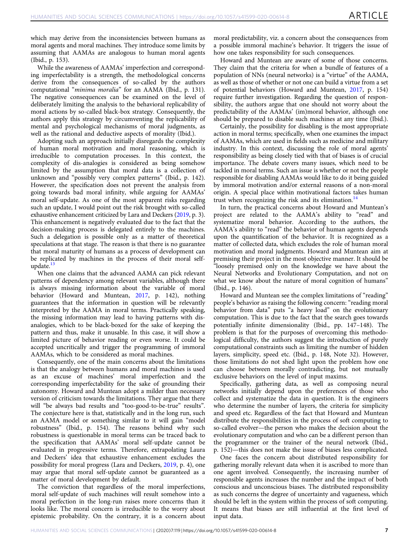which may derive from the inconsistencies between humans as moral agents and moral machines. They introduce some limits by assuming that AAMAs are analogous to human moral agents (Ibid., p. 153).

While the awareness of AAMAs' imperfection and corresponding imperfectability is a strength, the methodological concerns derive from the consequences of so-called by the authors computational "minima moralia" for an AAMA (Ibid., p. 131). The negative consequences can be examined on the level of deliberately limiting the analysis to the behavioral replicability of moral actions by so-called black-box strategy. Consequently, the authors apply this strategy by circumventing the replicability of mental and psychological mechanisms of moral judgments, as well as the rational and deductive aspects of morality (Ibid.).

Adopting such an approach initially disregards the complexity of human moral motivation and moral reasoning, which is irreducible to computation processes. In this context, the complexity of dis-analogies is considered as being somehow limited by the assumption that moral data is a collection of unknown and "possibly very complex patterns" (Ibid., p. 142). However, the specification does not prevent the analysis from going towards bad moral infinity, while arguing for AAMAs' moral self-update. As one of the most apparent risks regarding such an update, I would point out the risk brought with so-called exhaustive enhancement criticized by Lara and Deckers [\(2019,](#page-9-0) p. 3). This enhancement is negatively evaluated due to the fact that the decision-making process is delegated entirely to the machines. Such a delegation is possible only as a matter of theoretical speculations at that stage. The reason is that there is no guarantee that moral maturity of humans as a process of development can be replicated by machines in the process of their moral selfupdate. $13$ 

When one claims that the advanced AAMA can pick relevant patterns of dependency among relevant variables, although there is always missing information about the variable of moral behavior (Howard and Muntean, [2017,](#page-9-0) p. 142), nothing guarantees that the information in question will be relevantly interpreted by the AAMA in moral terms. Practically speaking, the missing information may lead to having patterns with disanalogies, which to be black-boxed for the sake of keeping the pattern and thus, make it unusable. In this case, it will show a limited picture of behavior reading or even worse. It could be accepted uncritically and trigger the programming of immoral AAMAs, which to be considered as moral machines.

Consequently, one of the main concerns about the limitations is that the analogy between humans and moral machines is used as an excuse of machines' moral imperfection and the corresponding imperfectability for the sake of grounding their autonomy. Howard and Muntean adopt a milder than necessary version of criticism towards the limitations. They argue that there will "be always bad results and "too-good-to-be-true" results". The conjecture here is that, statistically and in the long run, such an AAMA model or something similar to it will gain "model robustness" (Ibid., p. 154). The reasons behind why such robustness is questionable in moral terms can be traced back to the specification that AAMAs' moral self-update cannot be evaluated in progressive terms. Therefore, extrapolating Laura and Deckers' idea that exhaustive enhancement excludes the possibility for moral progress (Lara and Deckers, [2019,](#page-9-0) p. 4), one may argue that moral self-update cannot be guaranteed as a matter of moral development by default.

The conviction that regardless of the moral imperfections, moral self-update of such machines will result somehow into a moral perfection in the long-run raises more concerns than it looks like. The moral concern is irreducible to the worry about epistemic probability. On the contrary, it is a concern about

moral predictability, viz. a concern about the consequences from a possible immoral machine's behavior. It triggers the issue of how one takes responsibility for such consequences.

Howard and Muntean are aware of some of those concerns. They claim that the criteria for when a bundle of features of a population of NNs (neural networks) is a "virtue" of the AAMA, as well as those of whether or not one can build a virtue from a set of potential behaviors (Howard and Muntean, [2017](#page-9-0), p. 154) require further investigation. Regarding the question of responsibility, the authors argue that one should not worry about the predictability of the AAMAs' (im)moral behavior, although one should be prepared to disable such machines at any time (Ibid.).

Certainly, the possibility for disabling is the most appropriate action in moral terms; specifically, when one examines the impact of AAMAs, which are used in fields such as medicine and military industry. In this context, discussing the role of moral agents' responsibility as being closely tied with that of biases is of crucial importance. The debate covers many issues, which need to be tackled in moral terms. Such an issue is whether or not the people responsible for disabling AAMAs would like to do it being guided by immoral motivation and/or external reasons of a non-moral origin. A special place within motivational factors takes human trust when recognizing the risk and its elimination.<sup>[14](#page-9-0)</sup>

In turn, the practical concerns about Howard and Muntean's project are related to the AAMA's ability to "read" and systematize moral behavior. According to the authors, the AAMA's ability to "read" the behavior of human agents depends upon the quantification of the behavior. It is recognized as a matter of collected data, which excludes the role of human moral motivation and moral judgments. Howard and Muntean aim at premising their project in the most objective manner. It should be "loosely premised only on the knowledge we have about the Neural Networks and Evolutionary Computation, and not on what we know about the nature of moral cognition of humans" (Ibid., p. 146).

Howard and Muntean see the complex limitations of "reading" people's behavior as raising the following concern: "reading moral behavior from data" puts "a heavy load" on the evolutionary computation. This is due to the fact that the search goes towards potentially infinite dimensionality (Ibid., pp. 147–148). The problem is that for the purposes of overcoming this methodological difficulty, the authors suggest the introduction of purely computational constraints such as limiting the number of hidden layers, simplicity, speed etc. (Ibid., p. 148, Note 32). However, those limitations do not shed light upon the problem how one can choose between morally contradicting, but not mutually exclusive behaviors on the level of input maxims.

Specifically, gathering data, as well as composing neural networks initially depend upon the preferences of those who collect and systematize the data in question. It is the engineers who determine the number of layers, the criteria for simplicity and speed etc. Regardless of the fact that Howard and Muntean distribute the responsibilities in the process of soft computing to so-called evolver—the person who makes the decision about the evolutionary computation and who can be a different person than the programmer or the trainer of the neural network (Ibid., p. 152)—this does not make the issue of biases less complicated.

One faces the concern about distributed responsibility for gathering morally relevant data when it is ascribed to more than one agent involved. Consequently, the increasing number of responsible agents increases the number and the impact of both conscious and unconscious biases. The distributed responsibility as such concerns the degree of uncertainty and vagueness, which should be left in the system within the process of soft computing. It means that biases are still influential at the first level of input data.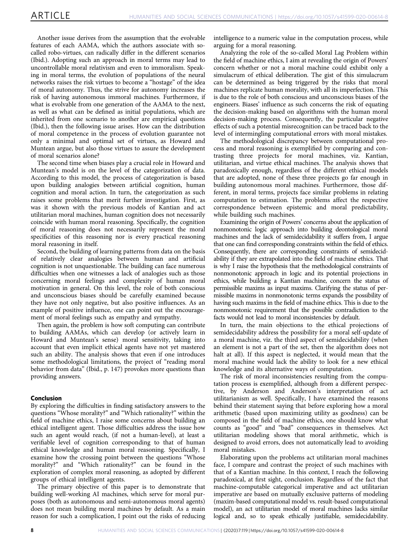Another issue derives from the assumption that the evolvable features of each AAMA, which the authors associate with socalled robo-virtues, can radically differ in the different scenarios (Ibid.). Adopting such an approach in moral terms may lead to uncontrollable moral relativism and even to immoralism. Speaking in moral terms, the evolution of populations of the neural networks raises the risk virtues to become a "hostage" of the idea of moral autonomy. Thus, the strive for autonomy increases the risk of having autonomous immoral machines. Furthermore, if what is evolvable from one generation of the AAMA to the next, as well as what can be defined as initial populations, which are inherited from one scenario to another are empirical questions (Ibid.), then the following issue arises. How can the distribution of moral competence in the process of evolution guarantee not only a minimal and optimal set of virtues, as Howard and Muntean argue, but also those virtues to assure the development of moral scenarios alone?

The second time when biases play a crucial role in Howard and Muntean's model is on the level of the categorization of data. According to this model, the process of categorization is based upon building analogies between artificial cognition, human cognition and moral action. In turn, the categorization as such raises some problems that merit further investigation. First, as was it shown with the previous models of Kantian and act utilitarian moral machines, human cognition does not necessarily coincide with human moral reasoning. Specifically, the cognition of moral reasoning does not necessarily represent the moral specificities of this reasoning nor is every practical reasoning moral reasoning in itself.

Second, the building of learning patterns from data on the basis of relatively clear analogies between human and artificial cognition is not unquestionable. The building can face numerous difficulties when one witnesses a lack of analogies such as those concerning moral feelings and complexity of human moral motivation in general. On this level, the role of both conscious and unconscious biases should be carefully examined because they have not only negative, but also positive influences. As an example of positive influence, one can point out the encouragement of moral feelings such as empathy and sympathy.

Then again, the problem is how soft computing can contribute to building AAMAs, which can develop (or actively learn in Howard and Muntean's sense) moral sensitivity, taking into account that even implicit ethical agents have not yet mastered such an ability. The analysis shows that even if one introduces some methodological limitations, the project of "reading moral behavior from data" (Ibid., p. 147) provokes more questions than providing answers.

#### Conclusion

By exploring the difficulties in finding satisfactory answers to the questions "Whose morality?" and "Which rationality?" within the field of machine ethics, I raise some concerns about building an ethical intelligent agent. Those difficulties address the issue how such an agent would reach, (if not a human-level), at least a verifiable level of cognition corresponding to that of human ethical knowledge and human moral reasoning. Specifically, I examine how the crossing point between the questions "Whose morality?" and "Which rationality?" can be found in the exploration of complex moral reasoning, as adopted by different groups of ethical intelligent agents.

The primary objective of this paper is to demonstrate that building well-working AI machines, which serve for moral purposes (both as autonomous and semi-autonomous moral agents) does not mean building moral machines by default. As a main reason for such a complication, I point out the risks of reducing intelligence to a numeric value in the computation process, while arguing for a moral reasoning.

Analyzing the role of the so-called Moral Lag Problem within the field of machine ethics, I aim at revealing the origin of Powers' concern whether or not a moral machine could exhibit only a simulacrum of ethical deliberation. The gist of this simulacrum can be determined as being triggered by the risks that moral machines replicate human morality, with all its imperfection. This is due to the role of both conscious and unconscious biases of the engineers. Biases' influence as such concerns the risk of equating the decision-making based on algorithms with the human moral decision-making process. Consequently, the particular negative effects of such a potential misrecognition can be traced back to the level of intermingling computational errors with moral mistakes.

The methodological discrepancy between computational process and moral reasoning is exemplified by comparing and contrasting three projects for moral machines, viz. Kantian, utilitarian, and virtue ethical machines. The analysis shows that paradoxically enough, regardless of the different ethical models that are adopted, none of these three projects go far enough in building autonomous moral machines. Furthermore, those different, in moral terms, projects face similar problems in relating computation to estimation. The problems affect the respective correspondence between epistemic and moral predictability, while building such machines.

Examining the origin of Powers' concerns about the application of nonmonotonic logic approach into building deontological moral machines and the lack of semidecidability it suffers from, I argue that one can find corresponding constraints within the field of ethics. Consequently, there are corresponding constraints of semidecidability if they are extrapolated into the field of machine ethics. That is why I raise the hypothesis that the methodological constraints of nonmonotonic approach in logic and its potential projections in ethics, while building a Kantian machine, concern the status of permissible maxims as input maxims. Clarifying the status of permissible maxims in nonmonotonic terms expands the possibility of having such maxims in the field of machine ethics. This is due to the nonmonotonic requirement that the possible contradiction to the facts would not lead to moral inconsistencies by default.

In turn, the main objections to the ethical projections of semidecidability address the possibility for a moral self-update of a moral machine, viz. the third aspect of semidecidability (when an element is not a part of the set, then the algorithm does not halt at all). If this aspect is neglected, it would mean that the moral machine would lack the ability to look for a new ethical knowledge and its alternative ways of computation.

The risk of moral inconsistencies resulting from the computation process is exemplified, although from a different perspective, by Anderson and Anderson's interpretation of act utilitarianism as well. Specifically, I have examined the reasons behind their statement saying that before exploring how a moral arithmetic (based upon maximizing utility as goodness) can be composed in the field of machine ethics, one should know what counts as "good" and "bad" consequences in themselves. Act utilitarian modeling shows that moral arithmetic, which is designed to avoid errors, does not automatically lead to avoiding moral mistakes.

Elaborating upon the problems act utilitarian moral machines face, I compare and contrast the project of such machines with that of a Kantian machine. In this context, I reach the following paradoxical, at first sight, conclusion. Regardless of the fact that machine-computable categorical imperative and act utilitarian imperative are based on mutually exclusive patterns of modeling (maxim-based computational model vs. result-based computational model), an act utilitarian model of moral machines lacks similar logical and, so to speak ethically justifiable, semidecidability.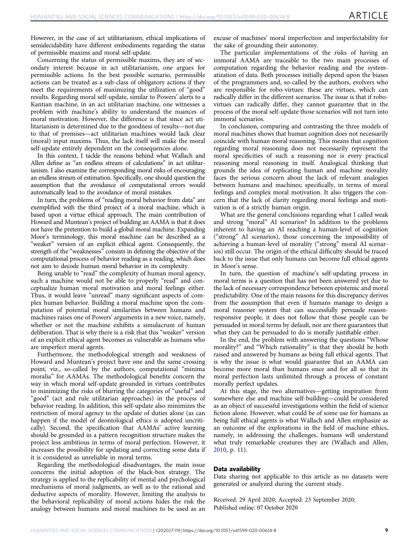However, in the case of act utilitarianism, ethical implications of semidecidability have different embodiments regarding the status of permissible maxims and moral self-update.

Concerning the status of permissible maxims, they are of secondary interest because in act utilitarianism, one argues for permissible actions. In the best possible scenario, permissible actions can be treated as a sub-class of obligatory actions if they meet the requirements of maximizing the utilization of "good" results. Regarding moral self-update, similar to Powers' alerts to a Kantian machine, in an act utilitarian machine, one witnesses a problem with machine's ability to understand the nuances of moral motivation. However, the difference is that since act utilitarianism is determined due to the goodness of results—not due to that of premises—act utilitarian machines would lack clear (moral) input maxims. Thus, the lack itself will make the moral self-update entirely dependent on the consequences alone.

In this context, I tackle the reasons behind what Wallach and Allen define as "an endless stream of calculations" in act utilitarianism. I also examine the corresponding moral risks of encouraging an endless stream of estimation. Specifically, one should question the assumption that the avoidance of computational errors would automatically lead to the avoidance of moral mistakes.

In turn, the problems of "reading moral behavior from data" are exemplified with the third project of a moral machine, which is based upon a virtue ethical approach. The main contribution of Howard and Muntean's project of building an AAMA is that it does not have the pretention to build a global moral machine. Expanding Moor's terminology, this moral machine can be described as a "weaker" version of an explicit ethical agent. Consequently, the strength of the "weaknesses" consists in defining the objective of the computational process of behavior reading as a reading, which does not aim to decode human moral behavior in its complexity.

Being unable to "read" the complexity of human moral agency, such a machine would not be able to properly "read" and conceptualize human moral motivation and moral feelings either. Thus, it would leave "unread" many significant aspects of complex human behavior. Building a moral machine upon the computation of potential moral similarities between humans and machines raises one of Powers' arguments in a new voice, namely, whether or not the machine exhibits a simulacrum of human deliberation. That is why there is a risk that this "weaker" version of an explicit ethical agent becomes as vulnerable as humans who are imperfect moral agents.

Furthermore, the methodological strength and weakness of Howard and Muntean's project have one and the same crossing point, viz., so-called by the authors, computational "minima moralia" for AAMAs. The methodological benefits concern the way in which moral self-update grounded in virtues contributes to minimizing the risks of blurring the categories of "useful" and "good" (act and rule utilitarian approaches) in the process of behavior reading. In addition, this self-update also minimizes the restriction of moral agency to the update of duties alone (as can happen if the model of deontological ethics is adopted uncritically). Second, the specification that AAMAs' active learning should be grounded in a pattern recognition structure makes the project less ambitious in terms of moral perfection. However, it increases the possibility for updating and correcting some data if it is considered as unreliable in moral terms.

Regarding the methodological disadvantages, the main issue concerns the initial adoption of the black-box strategy. The strategy is applied to the replicability of mental and psychological mechanisms of moral judgments, as well as to the rational and deductive aspects of morality. However, limiting the analysis to the behavioral replicability of moral actions hides the risk the analogy between humans and moral machines to be used as an

excuse of machines' moral imperfection and imperfectability for the sake of grounding their autonomy.

The particular implementations of the risks of having an immoral AAMA are traceable to the two main processes of computation regarding the behavior reading and the systematization of data. Both processes initially depend upon the biases of the programmers and, so-called by the authors, evolvers who are responsible for robo-virtues: these are virtues, which can radically differ in the different scenarios. The issue is that if robovirtues can radically differ, they cannot guarantee that in the process of the moral self-update those scenarios will not turn into immoral scenarios.

In conclusion, comparing and contrasting the three models of moral machines shows that human cognition does not necessarily coincide with human moral reasoning. This means that cognition regarding moral reasoning does not necessarily represent the moral specificities of such a reasoning nor is every practical reasoning moral reasoning in itself. Analogical thinking that grounds the idea of replicating human and machine morality faces the serious concern about the lack of relevant analogies between humans and machines; specifically, in terms of moral feelings and complex moral motivation. It also triggers the concern that the lack of clarity regarding moral feelings and motivation is of a strictly human origin.

What are the general conclusions regarding what I called weak and strong "moral" AI scenarios? In addition to the problems inherent to having an AI reaching a human-level of cognition ("strong" AI scenarios), those concerning the impossibility of achieving a human-level of morality ("strong" moral AI scenarios) still occur. The origin of the ethical difficulty should be traced back to the issue that only humans can become full ethical agents in Moor's sense.

In turn, the question of machine's self-updating process in moral terms is a question that has not been answered yet due to the lack of necessary correspondence between epistemic and moral predictability. One of the main reasons for this discrepancy derives from the assumption that even if humans manage to design a moral reasoner system that can successfully persuade reasonresponsive people, it does not follow that those people can be persuaded in moral terms by default, nor are there guarantees that what they can be persuaded to do is morally justifiable either.

In the end, the problem with answering the questions "Whose morality?" and "Which rationality" is that they should be both raised and answered by humans as being full ethical agents. That is why the issue is what would guarantee that an AAMA can become more moral than humans once and for all so that its moral perfection lasts unlimited through a process of constant morally perfect updates.

At this stage, the two alternatives—getting inspiration from somewhere else and machine self-building—could be considered as an object of successful investigations within the field of science fiction alone. However, what could be of some use for humans as being full ethical agents is what Wallach and Allen emphasize as an outcome of the explorations in the field of machine ethics, namely, in addressing the challenges, humans will understand what truly remarkable creatures they are (Wallach and Allen, [2010,](#page-9-0) p. 11).

#### Data availability

Data sharing not applicable to this article as no datasets were generated or analyzed during the current study.

Received: 29 April 2020; Accepted: 23 September 2020; Published online: 07 October 2020